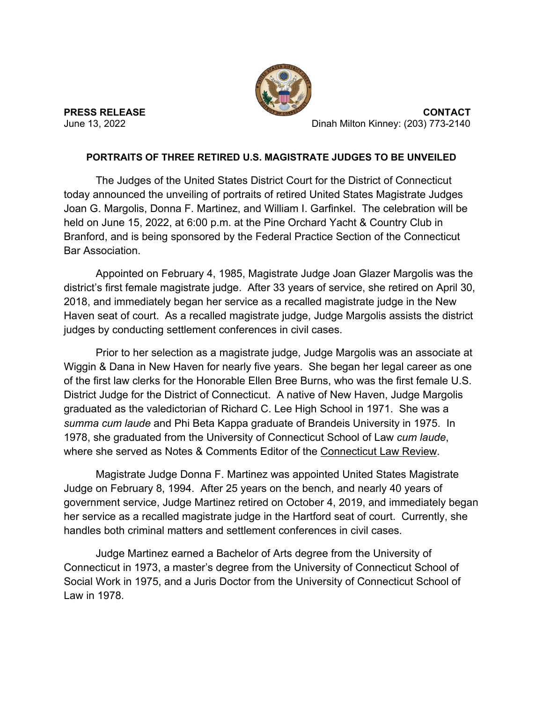

**PRESS RELEASE CONTACT** June 13, 2022 Dinah Milton Kinney: (203) 773-2140

## **PORTRAITS OF THREE RETIRED U.S. MAGISTRATE JUDGES TO BE UNVEILED**

The Judges of the United States District Court for the District of Connecticut today announced the unveiling of portraits of retired United States Magistrate Judges Joan G. Margolis, Donna F. Martinez, and William I. Garfinkel. The celebration will be held on June 15, 2022, at 6:00 p.m. at the Pine Orchard Yacht & Country Club in Branford, and is being sponsored by the Federal Practice Section of the Connecticut Bar Association.

Appointed on February 4, 1985, Magistrate Judge Joan Glazer Margolis was the district's first female magistrate judge. After 33 years of service, she retired on April 30, 2018, and immediately began her service as a recalled magistrate judge in the New Haven seat of court. As a recalled magistrate judge, Judge Margolis assists the district judges by conducting settlement conferences in civil cases.

Prior to her selection as a magistrate judge, Judge Margolis was an associate at Wiggin & Dana in New Haven for nearly five years. She began her legal career as one of the first law clerks for the Honorable Ellen Bree Burns, who was the first female U.S. District Judge for the District of Connecticut. A native of New Haven, Judge Margolis graduated as the valedictorian of Richard C. Lee High School in 1971. She was a *summa cum laude* and Phi Beta Kappa graduate of Brandeis University in 1975. In 1978, she graduated from the University of Connecticut School of Law *cum laude*, where she served as Notes & Comments Editor of the Connecticut Law Review.

Magistrate Judge Donna F. Martinez was appointed United States Magistrate Judge on February 8, 1994. After 25 years on the bench, and nearly 40 years of government service, Judge Martinez retired on October 4, 2019, and immediately began her service as a recalled magistrate judge in the Hartford seat of court. Currently, she handles both criminal matters and settlement conferences in civil cases.

Judge Martinez earned a Bachelor of Arts degree from the University of Connecticut in 1973, a master's degree from the University of Connecticut School of Social Work in 1975, and a Juris Doctor from the University of Connecticut School of Law in 1978.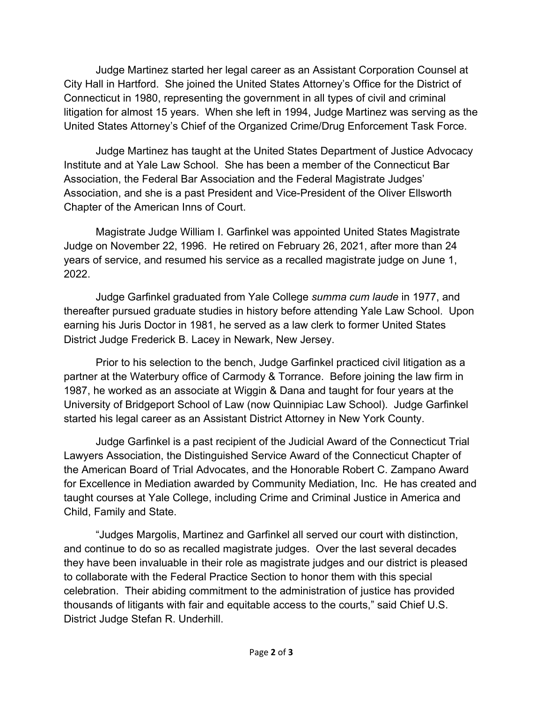Judge Martinez started her legal career as an Assistant Corporation Counsel at City Hall in Hartford. She joined the United States Attorney's Office for the District of Connecticut in 1980, representing the government in all types of civil and criminal litigation for almost 15 years. When she left in 1994, Judge Martinez was serving as the United States Attorney's Chief of the Organized Crime/Drug Enforcement Task Force.

Judge Martinez has taught at the United States Department of Justice Advocacy Institute and at Yale Law School. She has been a member of the Connecticut Bar Association, the Federal Bar Association and the Federal Magistrate Judges' Association, and she is a past President and Vice-President of the Oliver Ellsworth Chapter of the American Inns of Court.

Magistrate Judge William I. Garfinkel was appointed United States Magistrate Judge on November 22, 1996. He retired on February 26, 2021, after more than 24 years of service, and resumed his service as a recalled magistrate judge on June 1, 2022.

Judge Garfinkel graduated from Yale College *summa cum laude* in 1977, and thereafter pursued graduate studies in history before attending Yale Law School. Upon earning his Juris Doctor in 1981, he served as a law clerk to former United States District Judge Frederick B. Lacey in Newark, New Jersey.

Prior to his selection to the bench, Judge Garfinkel practiced civil litigation as a partner at the Waterbury office of Carmody & Torrance. Before joining the law firm in 1987, he worked as an associate at Wiggin & Dana and taught for four years at the University of Bridgeport School of Law (now Quinnipiac Law School). Judge Garfinkel started his legal career as an Assistant District Attorney in New York County.

Judge Garfinkel is a past recipient of the Judicial Award of the Connecticut Trial Lawyers Association, the Distinguished Service Award of the Connecticut Chapter of the American Board of Trial Advocates, and the Honorable Robert C. Zampano Award for Excellence in Mediation awarded by Community Mediation, Inc. He has created and taught courses at Yale College, including Crime and Criminal Justice in America and Child, Family and State.

"Judges Margolis, Martinez and Garfinkel all served our court with distinction, and continue to do so as recalled magistrate judges. Over the last several decades they have been invaluable in their role as magistrate judges and our district is pleased to collaborate with the Federal Practice Section to honor them with this special celebration. Their abiding commitment to the administration of justice has provided thousands of litigants with fair and equitable access to the courts," said Chief U.S. District Judge Stefan R. Underhill.